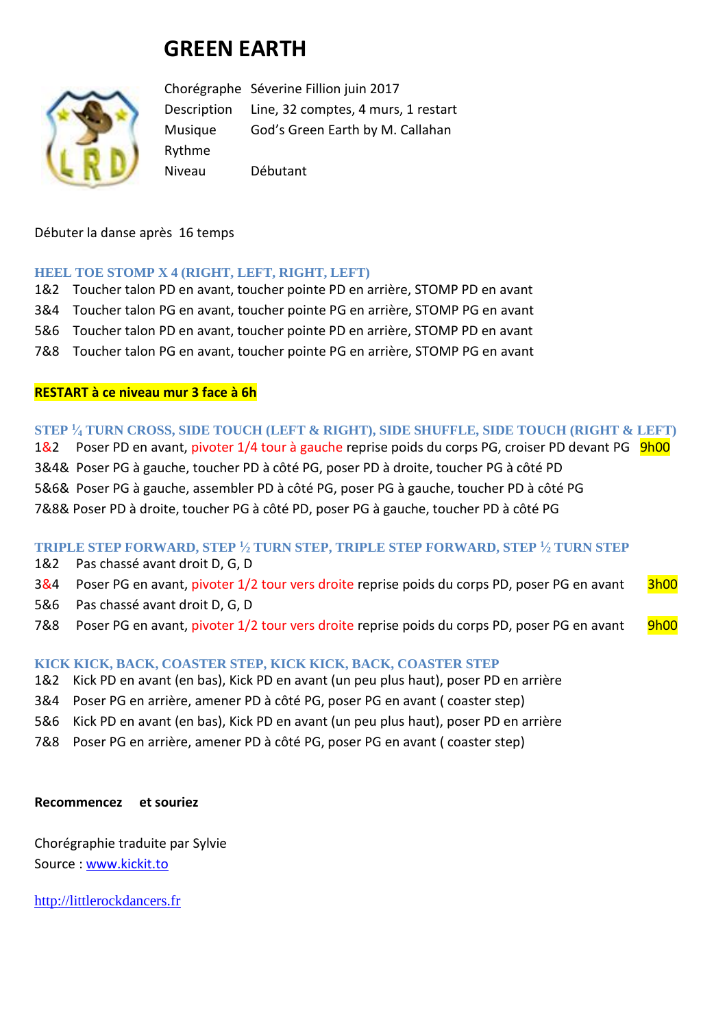# **GREEN EARTH**



Chorégraphe Séverine Fillion juin 2017 Description Line, 32 comptes, 4 murs, 1 restart Musique God's Green Earth by M. Callahan Rythme Niveau Débutant

### Débuter la danse après 16 temps

#### **HEEL TOE STOMP X 4 (RIGHT, LEFT, RIGHT, LEFT)**

- 1&2 Toucher talon PD en avant, toucher pointe PD en arrière, STOMP PD en avant
- 3&4 Toucher talon PG en avant, toucher pointe PG en arrière, STOMP PG en avant
- 5&6 Toucher talon PD en avant, toucher pointe PD en arrière, STOMP PD en avant
- 7&8 Toucher talon PG en avant, toucher pointe PG en arrière, STOMP PG en avant

### **RESTART à ce niveau mur 3 face à 6h**

**STEP <sup>1</sup> ⁄<sup>4</sup> TURN CROSS, SIDE TOUCH (LEFT & RIGHT), SIDE SHUFFLE, SIDE TOUCH (RIGHT & LEFT)** 1&2 Poser PD en avant, pivoter 1/4 tour à gauche reprise poids du corps PG, croiser PD devant PG 9h00 3&4& Poser PG à gauche, toucher PD à côté PG, poser PD à droite, toucher PG à côté PD 5&6& Poser PG à gauche, assembler PD à côté PG, poser PG à gauche, toucher PD à côté PG 7&8& Poser PD à droite, toucher PG à côté PD, poser PG à gauche, toucher PD à côté PG

**TRIPLE STEP FORWARD, STEP <sup>1</sup> ⁄<sup>2</sup> TURN STEP, TRIPLE STEP FORWARD, STEP <sup>1</sup> ⁄<sup>2</sup> TURN STEP**

- 1&2 Pas chassé avant droit D, G, D
- 3&4 Poser PG en avant, pivoter 1/2 tour vers droite reprise poids du corps PD, poser PG en avant 3h00
- 5&6 Pas chassé avant droit D, G, D
- 7&8 Poser PG en avant, pivoter 1/2 tour vers droite reprise poids du corps PD, poser PG en avant 9h00

## **KICK KICK, BACK, COASTER STEP, KICK KICK, BACK, COASTER STEP**

- 1&2 Kick PD en avant (en bas), Kick PD en avant (un peu plus haut), poser PD en arrière
- 3&4 Poser PG en arrière, amener PD à côté PG, poser PG en avant ( coaster step)
- 5&6 Kick PD en avant (en bas), Kick PD en avant (un peu plus haut), poser PD en arrière
- 7&8 Poser PG en arrière, amener PD à côté PG, poser PG en avant ( coaster step)

#### **Recommencez et souriez**

Chorégraphie traduite par Sylvie Source : [www.kickit.to](http://www.kickit.to/)

[http://littlerockdancers.fr](http://littlerockdancers.fr/)